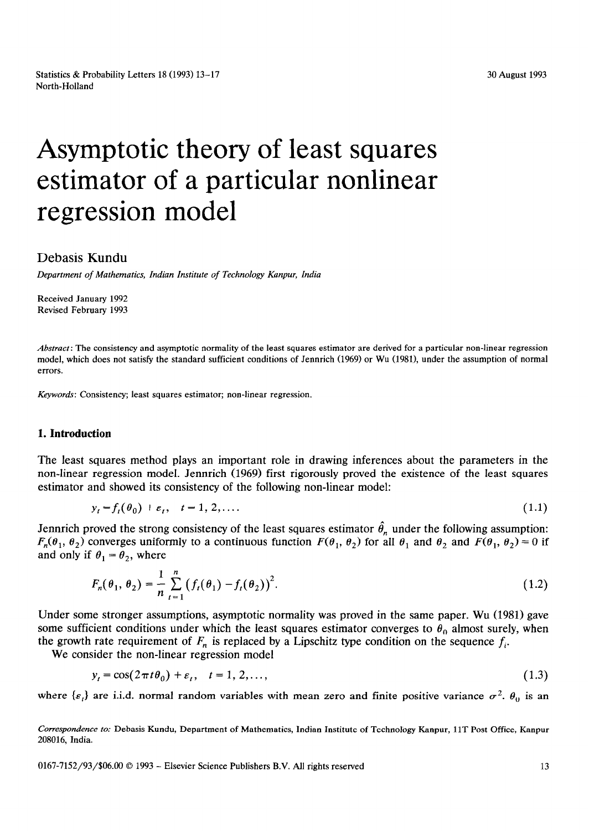# Asymptotic theory of least squares estimator of a particular nonlinear regression model

## Debasis Kundu

Department of Mathematics, Indian Institute of Technology Kanpur, India

Received January 1992 Revised February 1993

*Abstract:* The consistency and asymptotic normality of the least squares estimator are derived for a particular non-linear regression model, which does not satisfy the standard sufficient conditions of Jennrich (1969) or Wu (1981), under the assumption of normal errors.

*Keywords:* Consistency; least squares estimator; non-linear regression.

#### **1. Introduction**

The least squares method plays an important role in drawing inferences about the parameters in the non-linear regression model. Jennrich (1969) first rigorously proved the existence of the least squares estimator and showed its consistency of the following non-linear model:

$$
y_t = f_t(\theta_0) + \varepsilon_t, \quad t = 1, 2, \dots
$$
\n
$$
(1.1)
$$

Jennrich proved the strong consistency of the least squares estimator  $\hat{\theta}_n$  under the following assumption:  $F_n(\theta_1, \theta_2)$  converges uniformly to a continuous function  $F(\theta_1, \theta_2)$  for all  $\theta_1$  and  $\theta_2$  and  $F(\theta_1, \theta_2) = 0$  if and only if  $\theta_1 = \theta_2$ , where

$$
F_n(\theta_1, \theta_2) = \frac{1}{n} \sum_{t=1}^n (f_t(\theta_1) - f_t(\theta_2))^2.
$$
 (1.2)

Under some stronger assumptions, asymptotic normality was proved in the same paper. Wu (1981) gave some sufficient conditions under which the least squares estimator converges to  $\theta_0$  almost surely, when the growth rate requirement of  $F_n$  is replaced by a Lipschitz type condition on the sequence  $f_i$ .

We consider the non-linear regression model

$$
y_t = \cos(2\pi t \theta_0) + \varepsilon_t, \quad t = 1, 2, \dots,
$$
\n
$$
(1.3)
$$

where  $\{\varepsilon_n\}$  are i.i.d. normal random variables with mean zero and finite positive variance  $\sigma^2$ .  $\theta_0$  is an

0167-7152/93/\$06.00 0 1993 - Elsevier Science Publishers B.V. All rights reserved 13

*Correspondence to:* Debasis Kundu, Department of Mathematics, Indian Institute of Technology Kanpur, 11T Post Office, Kanpur 208016, India.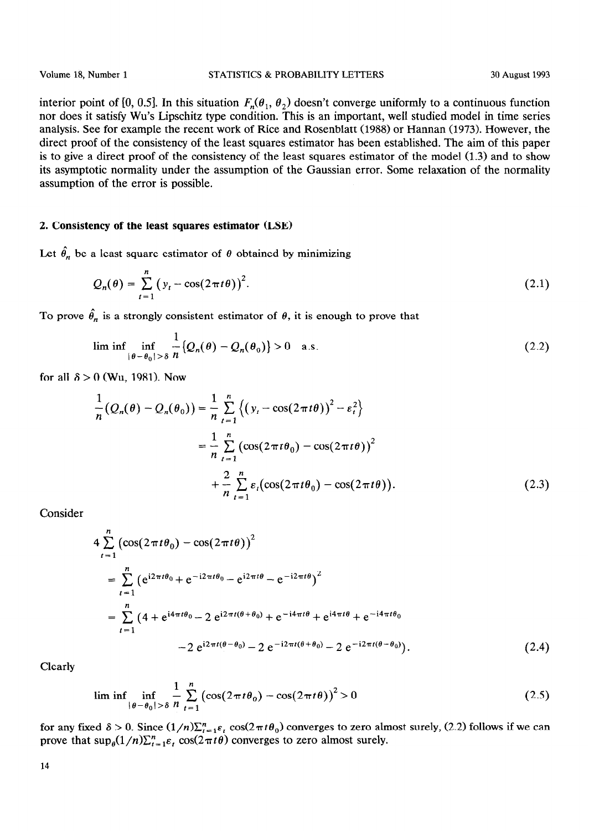Volume 18, Number 1 **STATISTICS & PROBABILITY LETTERS** 30 August 1993

interior point of [0, 0.5]. In this situation  $F_n(\theta_1, \theta_2)$  doesn't converge uniformly to a continuous function nor does it satisfy Wu's Lipschitz type condition. This is an important, well studied model in time series analysis. See for example the recent work of Rice and Rosenblatt (1988) or Hannan (1973). However, the direct proof of the consistency of the least squares estimator has been established. The aim of this paper is to give a direct proof of the consistency of the least squares estimator of the model (1.3) and to show its asymptotic normality under the assumption of the Gaussian error. Some relaxation of the normality assumption of the error is possible.

#### 2. **Consistency of the least squares estimator** (LSE)

Let  $\hat{\theta}_n$  be a least square estimator of  $\theta$  obtained by minimizing

$$
Q_n(\theta) = \sum_{t=1}^n \left( y_t - \cos(2\pi t\theta) \right)^2.
$$
 (2.1)

To prove  $\hat{\theta}_n$  is a strongly consistent estimator of  $\theta$ , it is enough to prove that

$$
\liminf_{\|\theta-\theta_0\|>\delta} \frac{1}{n} \{Q_n(\theta)-Q_n(\theta_0)\}>0 \quad \text{a.s.}
$$
\n(2.2)

for all  $\delta > 0$  (Wu, 1981). Now

$$
\frac{1}{n} (Q_n(\theta) - Q_n(\theta_0)) = \frac{1}{n} \sum_{t=1}^n \left\{ (y_t - \cos(2\pi t\theta))^2 - \varepsilon_t^2 \right\}
$$

$$
= \frac{1}{n} \sum_{t=1}^n \left( \cos(2\pi t\theta_0) - \cos(2\pi t\theta) \right)^2
$$

$$
+ \frac{2}{n} \sum_{t=1}^n \varepsilon_t (\cos(2\pi t\theta_0) - \cos(2\pi t\theta)).
$$
(2.3)

Consider

$$
4\sum_{t=1}^{n} (\cos(2\pi t\theta_0) - \cos(2\pi t\theta))^2
$$
  
= 
$$
\sum_{t=1}^{n} (e^{i2\pi t\theta_0} + e^{-i2\pi t\theta_0} - e^{i2\pi t\theta} - e^{-i2\pi t\theta})^2
$$
  
= 
$$
\sum_{t=1}^{n} (4 + e^{i4\pi t\theta_0} - 2 e^{i2\pi t(\theta + \theta_0)} + e^{-i4\pi t\theta} + e^{i4\pi t\theta} + e^{-i4\pi t\theta_0}
$$
  

$$
-2 e^{i2\pi t(\theta - \theta_0)} - 2 e^{-i2\pi t(\theta + \theta_0)} - 2 e^{-i2\pi t(\theta - \theta_0)}.
$$
 (2.4)

Clearly

$$
\liminf_{\|\theta-\theta_0\|>\delta} \frac{1}{n} \sum_{t=1}^n \left(\cos(2\pi t \theta_0) - \cos(2\pi t \theta)\right)^2 > 0 \tag{2.5}
$$

for any fixed  $\delta > 0$ . Since  $(1/n)\sum_{i=1}^{n} \epsilon_i \cos(2\pi t \theta_0)$  converges to zero almost surely, (2.2) follows if we can prove that  $\sup_{\theta} (1/n) \sum_{t=1}^{n} \varepsilon_t \cos(2\pi t \theta)$  converges to zero almost surely.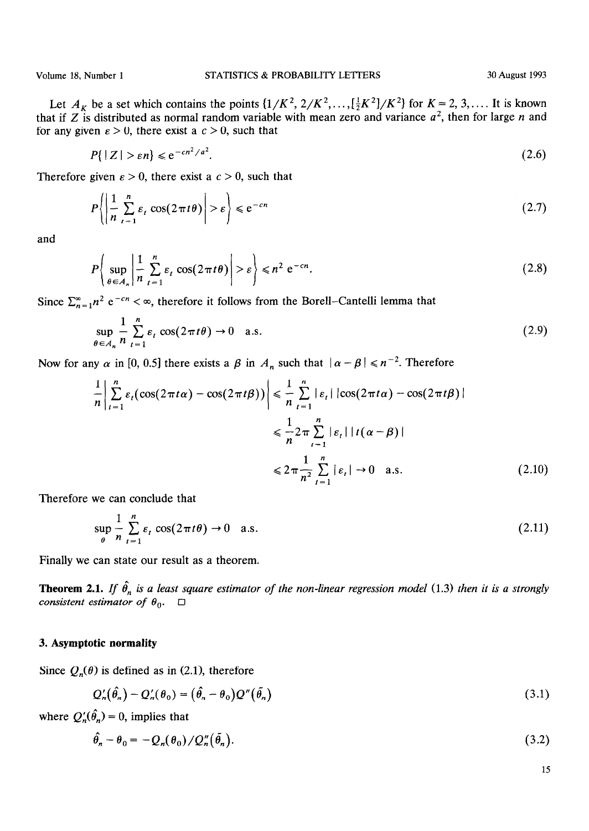Let  $A_K$  be a set which contains the points  $\left\{\frac{1}{K^2}, \frac{2}{K^2}, \ldots, \left[\frac{1}{2}K^2\right] / K^2\right\}$  for  $K = 2, 3, \ldots$  It is known that if Z is distributed as normal random variable with mean zero and variance  $a^2$ , then for large n and for any given  $\epsilon > 0$ , there exist a  $c > 0$ , such that

$$
P\{|Z| > \varepsilon n\} \leqslant e^{-cn^2/a^2}.\tag{2.6}
$$

Therefore given  $\epsilon > 0$ , there exist a  $c > 0$ , such that

$$
P\left(\left|\frac{1}{n}\sum_{t=1}^{n}\varepsilon_{t}\cos(2\pi t\theta)\right|>\varepsilon\right)\leq e^{-cn}\tag{2.7}
$$

and

$$
P\left\{\sup_{\theta \in A_n} \left| \frac{1}{n} \sum_{t=1}^n \varepsilon_t \cos(2\pi t \theta) \right| > \varepsilon \right\} \le n^2 e^{-cn}.
$$
 (2.8)

Since  $\sum_{n=1}^{\infty} n^2 e^{-cn} < \infty$ , therefore it follows from the Borell-Cantelli lemma that

$$
\sup_{\theta \in A_n} \frac{1}{n} \sum_{t=1}^n \varepsilon_t \cos(2\pi t \theta) \to 0 \quad \text{a.s.}
$$
\n(2.9)

Now for any  $\alpha$  in [0, 0.5] there exists a  $\beta$  in  $A_n$  such that  $|\alpha - \beta| \le n^{-2}$ . Therefore

$$
\frac{1}{n} \left| \sum_{t=1}^{n} \varepsilon_t (\cos(2\pi t \alpha) - \cos(2\pi t \beta)) \right| \le \frac{1}{n} \sum_{t=1}^{n} |\varepsilon_t| |\cos(2\pi t \alpha) - \cos(2\pi t \beta)|
$$
  

$$
\le \frac{1}{n} 2\pi \sum_{t=1}^{n} |\varepsilon_t| |t(\alpha - \beta)|
$$
  

$$
\le 2\pi \frac{1}{n^2} \sum_{t=1}^{n} |\varepsilon_t| \to 0 \quad \text{a.s.}
$$
 (2.10)

Therefore we can conclude that

$$
\sup_{\theta} \frac{1}{n} \sum_{t=1}^{n} \varepsilon_t \cos(2\pi t \theta) \to 0 \quad \text{a.s.}
$$
 (2.11)

Finally we can state our result as a theorem.

**Theorem 2.1.** *If*  $\hat{\theta}_n$  *is a least square estimator of the non-linear regression model* (1.3) *then it is a strongly consistent estimator of*  $\theta_0$ .  $\Box$ 

#### *3.* **Asymptotic normality**

Since  $Q_n(\theta)$  is defined as in (2.1), therefore

$$
Q'_n(\hat{\theta}_n) - Q'_n(\theta_0) = (\hat{\theta}_n - \theta_0)Q''(\tilde{\theta}_n)
$$
\n(3.1)

where  $Q'_n(\hat{\theta}_n) = 0$ , implies that

$$
\hat{\theta}_n - \theta_0 = -Q_n(\theta_0) / Q_n''(\tilde{\theta}_n). \tag{3.2}
$$

1.5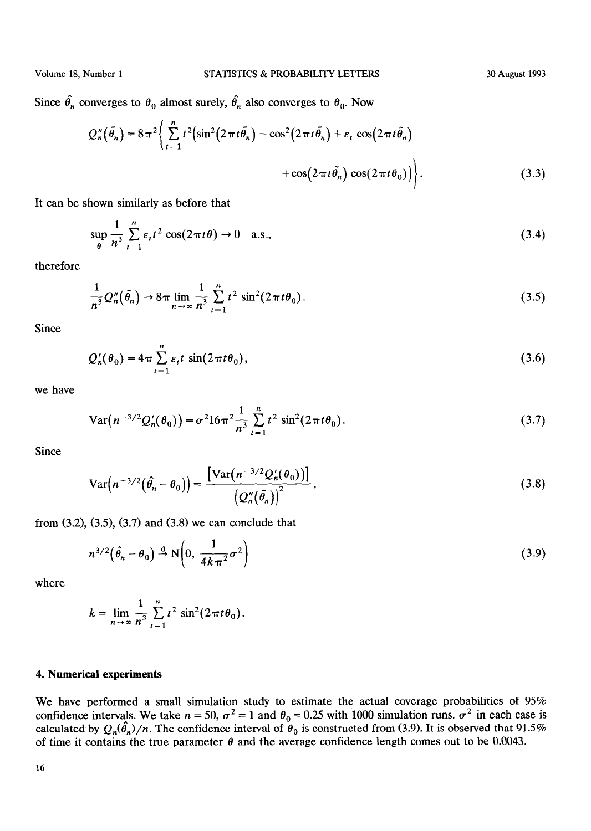Since  $\hat{\theta}_n$  converges to  $\theta_0$  almost surely,  $\hat{\theta}_n$  also converges to  $\theta_0$ . Now

$$
Q''_n(\tilde{\theta}_n) = 8\pi^2 \bigg\{ \sum_{t=1}^n t^2 \big( \sin^2(2\pi t \tilde{\theta}_n) - \cos^2(2\pi t \tilde{\theta}_n) + \varepsilon_t \cos(2\pi t \tilde{\theta}_n) + \cos(2\pi t \tilde{\theta}_n) \cos(2\pi t \theta_0) \big) \bigg\}.
$$
 (3.3)

It can be shown similarly as before that

$$
\sup_{\theta} \frac{1}{n^3} \sum_{t=1}^{n} \varepsilon_t t^2 \cos(2\pi t \theta) \to 0 \quad \text{a.s.,}
$$
\n(3.4)

therefore

$$
\frac{1}{n^3} Q_n''(\tilde{\theta}_n) \to 8\pi \lim_{n \to \infty} \frac{1}{n^3} \sum_{t=1}^n t^2 \sin^2(2\pi t \theta_0).
$$
 (3.5)

Since

$$
Q'_n(\theta_0) = 4\pi \sum_{t=1}^n \varepsilon_t t \sin(2\pi t \theta_0), \qquad (3.6)
$$

we have

$$
\text{Var}\big(n^{-3/2}Q'_n(\theta_0)\big) = \sigma^2 16\pi^2 \frac{1}{n^3} \sum_{t=1}^n t^2 \sin^2(2\pi t \theta_0). \tag{3.7}
$$

Since

$$
\operatorname{Var}\left(n^{-3/2}\left(\hat{\theta}_n - \theta_0\right)\right) = \frac{\left[\operatorname{Var}\left(n^{-3/2}Q'_n(\theta_0)\right)\right]}{\left(Q''_n(\tilde{\theta}_n)\right)^2},\tag{3.8}
$$

from (3.2), (3.5), (3.7) and (3.8) we can conclude that

$$
n^{3/2}(\hat{\theta}_n - \theta_0) \stackrel{d}{\rightarrow} N\left(0, \frac{1}{4k\pi^2}\sigma^2\right)
$$
 (3.9)

where

$$
k = \lim_{n \to \infty} \frac{1}{n^3} \sum_{t=1}^{n} t^2 \sin^2(2\pi t \theta_0).
$$

#### 4. **Numerical experiments**

We have performed a small simulation study to estimate the actual coverage probabilities of 95% confidence intervals. We take  $n = 50$ ,  $\sigma^2 = 1$  and  $\theta_0 = 0.25$  with 1000 simulation runs.  $\sigma^2$  in each case is calculated by  $Q_n(\theta_n)/n$ . The confidence interval of  $\theta_0$  is constructed from (3.9). It is observed that 91.5% of time it contains the true parameter  $\theta$  and the average confidence length comes out to be 0.0043.